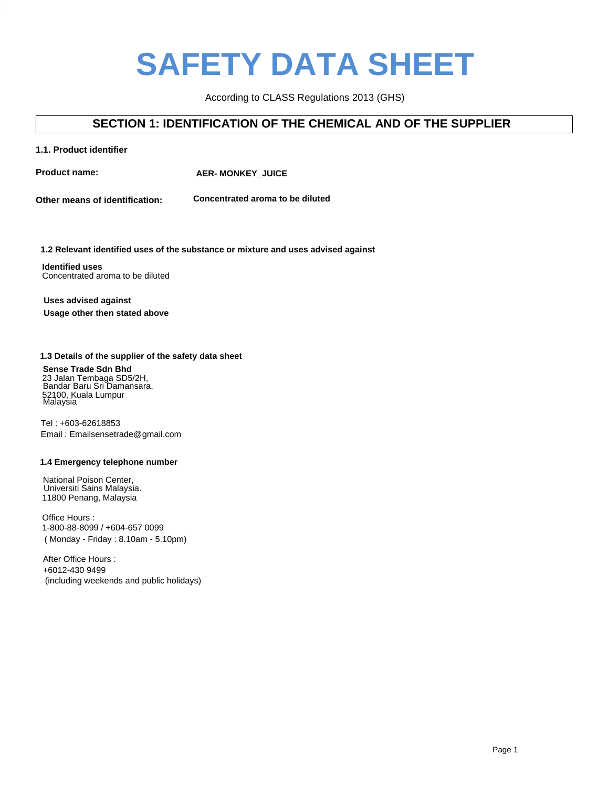# **SAFETY DATA SHEET**

According to CLASS Regulations 2013 (GHS)

### **SECTION 1: IDENTIFICATION OF THE CHEMICAL AND OF THE SUPPLIER**

### **1.1. Product identifier**

**Product name: SteamBuddie <b>AER- MONKEY\_JUICE** 

**Other means of identification: Concentrated aroma to be diluted** 

#### **2. Rainbow drop** z Relevalit lue **7. Rasp lemonade 8. Lychee blue 1.2 Relevant identified uses of the substance or mixture and uses advised against**

**Identified uses 5. Sticky mango** Concentrated aroma to be diluted

### **Uses advised against Usage other then stated above**

### **1.3 Details of the supplier of the safety data sheet**

23 Jalan Tembaga SD **Sense Trade Sdn Bhd**

Bandar Baru Sri Damansara, 23 Jalan Tembaga SD5/2H, Bandar Baru Sri Damansara, 52100, Kuala Lumpur Malaysia

**1.3. Details of the supplier of the safety data sheet** Tel : +603-62618853 **Sense Trade Sdn Bhd** Email : Emailsensetrade@gmail.com

### 1.4 Emergency telephone number

National Poison Center, Malaysia. Universiti Sains Malaysia. 11800 Penang, Malaysia

Office Hours : **1.4 Emergency telephone number** ( Monday - Friday : 8.10am - 5.10pm) 1-800-88-8099 / +604-657 0099

After Office Hours : Universiti Sains Malaysia, +6012-430 9499  $100 - 1000$ (including weekends and public holidays)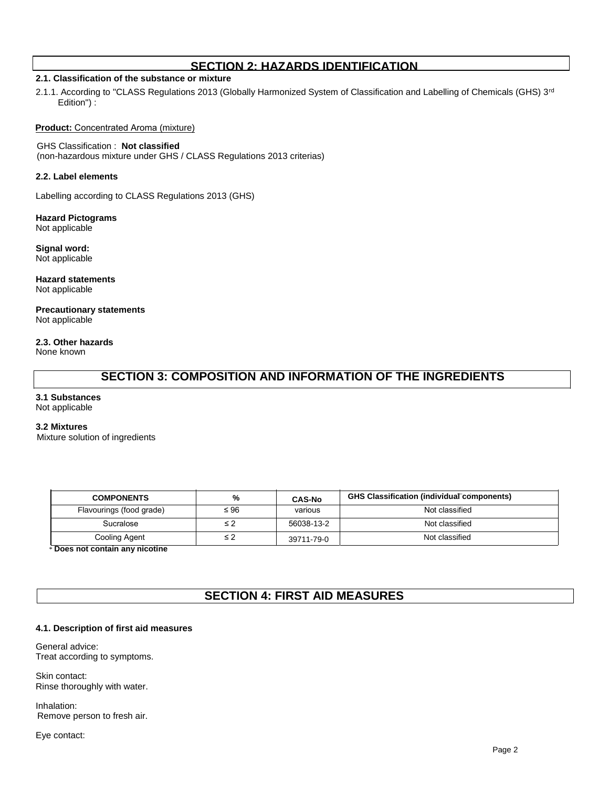### **SECTION 2: HAZARDS IDENTIFICATION**

### **2.1. Classification of the substance or mixture**

2.1.1. According to "CLASS Regulations 2013 (Globally Harmonized System of Classification and Labelling of Chemicals (GHS) 3rd Edition") :

**Product:** Concentrated Aroma (mixture)

### GHS Classification : **Not classified**

(non-hazardous mixture under GHS / CLASS Regulations 2013 criterias)

#### **2.2. Label elements**

Labelling according to CLASS Regulations 2013 (GHS)

**Hazard Pictograms** Not applicable

**Signal word:** Not applicable

**Hazard statements** Not applicable

**Precautionary statements** Not applicable

**2.3. Other hazards** None known

### **SECTION 3: COMPOSITION AND INFORMATION OF THE INGREDIENTS**

### **3.1 Substances**

Not applicable

#### **3.2 Mixtures**

Mixture solution of ingredients

| <b>COMPONENTS</b>        | %         | <b>CAS-No</b> | <b>GHS Classification (individual components)</b> |
|--------------------------|-----------|---------------|---------------------------------------------------|
| Flavourings (food grade) | $\leq 96$ | various       | Not classified                                    |
| Sucralose                | ≤ 2       | 56038-13-2    | Not classified                                    |
| Cooling Agent            | ≤ 2       | 39711-79-0    | Not classified                                    |

\* **Does not contain any nicotine**

### **SECTION 4: FIRST AID MEASURES**

### **4.1. Description of first aid measures**

General advice: Treat according to symptoms.

Skin contact: Rinse thoroughly with water.

Inhalation: Remove person to fresh air.

Eye contact: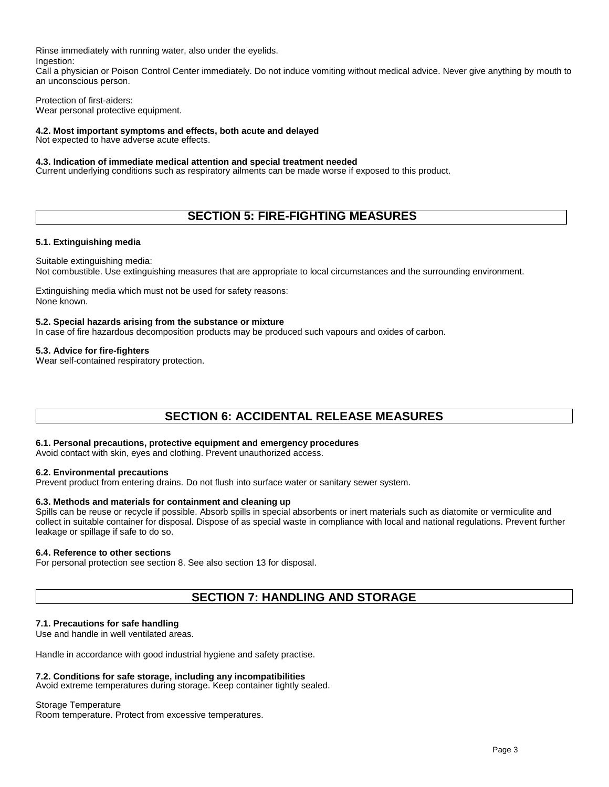Rinse immediately with running water, also under the eyelids. Ingestion:

Call a physician or Poison Control Center immediately. Do not induce vomiting without medical advice. Never give anything by mouth to an unconscious person.

Protection of first-aiders: Wear personal protective equipment.

### **4.2. Most important symptoms and effects, both acute and delayed**

Not expected to have adverse acute effects.

### **4.3. Indication of immediate medical attention and special treatment needed**

Current underlying conditions such as respiratory ailments can be made worse if exposed to this product.

### **SECTION 5: FIRE-FIGHTING MEASURES**

### **5.1. Extinguishing media**

Suitable extinguishing media:

Not combustible. Use extinguishing measures that are appropriate to local circumstances and the surrounding environment.

Extinguishing media which must not be used for safety reasons: None known.

### **5.2. Special hazards arising from the substance or mixture**

In case of fire hazardous decomposition products may be produced such vapours and oxides of carbon.

### **5.3. Advice for fire-fighters**

Wear self-contained respiratory protection.

### **SECTION 6: ACCIDENTAL RELEASE MEASURES**

### **6.1. Personal precautions, protective equipment and emergency procedures**

Avoid contact with skin, eyes and clothing. Prevent unauthorized access.

### **6.2. Environmental precautions**

Prevent product from entering drains. Do not flush into surface water or sanitary sewer system.

### **6.3. Methods and materials for containment and cleaning up**

Spills can be reuse or recycle if possible. Absorb spills in special absorbents or inert materials such as diatomite or vermiculite and collect in suitable container for disposal. Dispose of as special waste in compliance with local and national regulations. Prevent further leakage or spillage if safe to do so.

### **6.4. Reference to other sections**

For personal protection see section 8. See also section 13 for disposal.

### **SECTION 7: HANDLING AND STORAGE**

### **7.1. Precautions for safe handling**

Use and handle in well ventilated areas.

Handle in accordance with good industrial hygiene and safety practise.

### **7.2. Conditions for safe storage, including any incompatibilities**

Avoid extreme temperatures during storage. Keep container tightly sealed.

Storage Temperature Room temperature. Protect from excessive temperatures.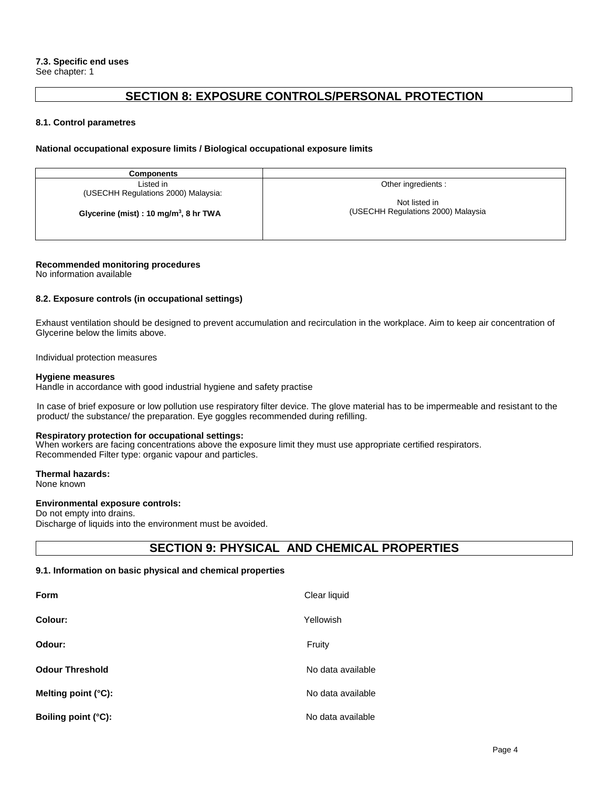### **SECTION 8: EXPOSURE CONTROLS/PERSONAL PROTECTION**

### **8.1. Control parametres**

#### **National occupational exposure limits / Biological occupational exposure limits**

**Components** Listed in (USECHH Regulations 2000) Malaysia:

**Glycerine (mist) : 10 mg/m<sup>3</sup> , 8 hr TWA**

Other ingredients :

Not listed in (USECHH Regulations 2000) Malaysia

### **Recommended monitoring procedures**

No information available

### **8.2. Exposure controls (in occupational settings)**

Exhaust ventilation should be designed to prevent accumulation and recirculation in the workplace. Aim to keep air concentration of Glycerine below the limits above.

Individual protection measures

#### **Hygiene measures**

Handle in accordance with good industrial hygiene and safety practise

In case of brief exposure or low pollution use respiratory filter device. The glove material has to be impermeable and resistant to the product/ the substance/ the preparation. Eye goggles recommended during refilling.

#### **Respiratory protection for occupational settings:**

When workers are facing concentrations above the exposure limit they must use appropriate certified respirators. Recommended Filter type: organic vapour and particles.

**Thermal hazards:** None known

### **Environmental exposure controls:**

Do not empty into drains. Discharge of liquids into the environment must be avoided.

### **SECTION 9: PHYSICAL AND CHEMICAL PROPERTIES**

### **9.1. Information on basic physical and chemical properties**

| <b>Form</b>            | Clear liquid      |
|------------------------|-------------------|
| Colour:                | Yellowish         |
| Odour:                 | Fruity            |
| <b>Odour Threshold</b> | No data available |
| Melting point (°C):    | No data available |
| Boiling point (°C):    | No data available |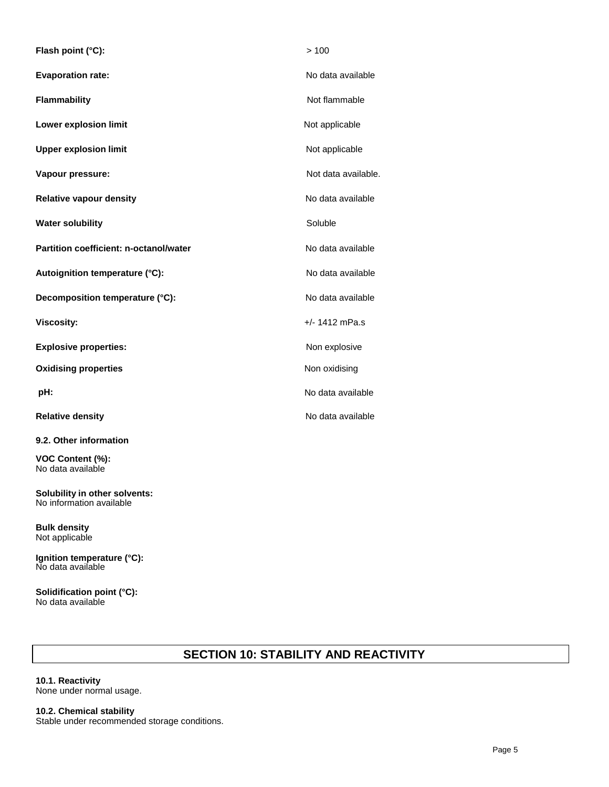| Flash point (°C):                      | >100                |
|----------------------------------------|---------------------|
| <b>Evaporation rate:</b>               | No data available   |
| Flammability                           | Not flammable       |
| Lower explosion limit                  | Not applicable      |
| <b>Upper explosion limit</b>           | Not applicable      |
| Vapour pressure:                       | Not data available. |
| <b>Relative vapour density</b>         | No data available   |
| <b>Water solubility</b>                | Soluble             |
| Partition coefficient: n-octanol/water | No data available   |
| Autoignition temperature (°C):         | No data available   |
| Decomposition temperature (°C):        | No data available   |
| <b>Viscosity:</b>                      | $+/- 1412$ mPa.s    |
| <b>Explosive properties:</b>           | Non explosive       |
| <b>Oxidising properties</b>            | Non oxidising       |
| pH:                                    | No data available   |
| <b>Relative density</b>                | No data available   |
| 9.2. Other information                 |                     |

**VOC Content (%):** No data available

**Solubility in other solvents:** No information available

**Bulk density** Not applicable

**Ignition temperature (°C):** No data available

**Solidification point (°C):** No data available

## **SECTION 10: STABILITY AND REACTIVITY**

### **10.1. Reactivity** None under normal usage.

**10.2. Chemical stability**

Stable under recommended storage conditions.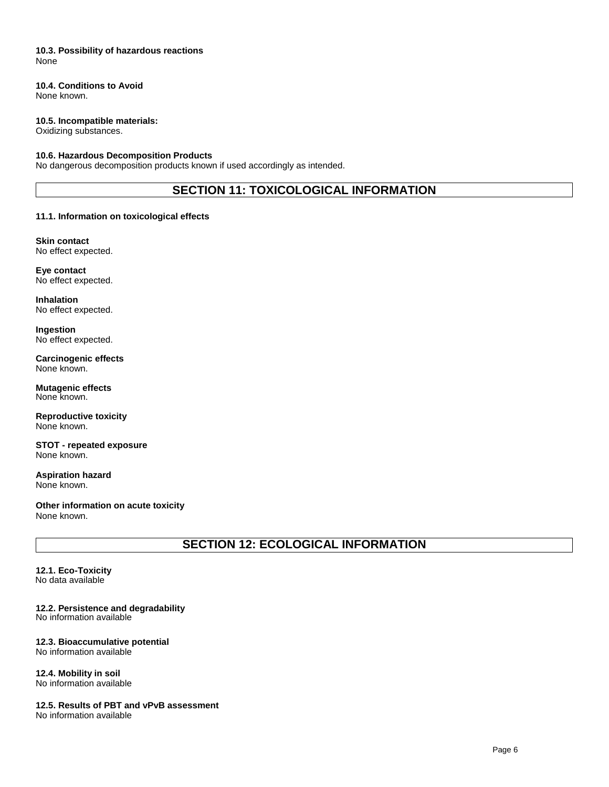### **10.3. Possibility of hazardous reactions** None

### **10.4. Conditions to Avoid**

None known.

### **10.5. Incompatible materials:**

Oxidizing substances.

### **10.6. Hazardous Decomposition Products**

No dangerous decomposition products known if used accordingly as intended.

### **SECTION 11: TOXICOLOGICAL INFORMATION**

### **11.1. Information on toxicological effects**

**Skin contact** No effect expected.

**Eye contact** No effect expected.

**Inhalation** No effect expected.

**Ingestion** No effect expected.

**Carcinogenic effects** None known.

**Mutagenic effects** None known.

**Reproductive toxicity** None known.

**STOT - repeated exposure** None known.

**Aspiration hazard** None known.

**Other information on acute toxicity** None known.

**SECTION 12: ECOLOGICAL INFORMATION**

**12.1. Eco-Toxicity** No data available

**12.2. Persistence and degradability** No information available

#### **12.3. Bioaccumulative potential** No information available

**12.4. Mobility in soil** No information available

**12.5. Results of PBT and vPvB assessment** No information available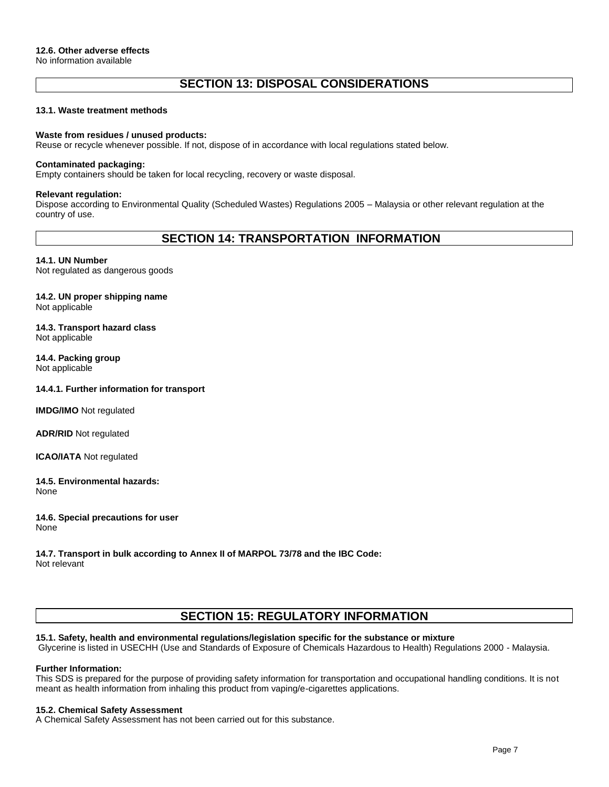### **SECTION 13: DISPOSAL CONSIDERATIONS**

#### **13.1. Waste treatment methods**

### **Waste from residues / unused products:**

Reuse or recycle whenever possible. If not, dispose of in accordance with local regulations stated below.

#### **Contaminated packaging:**

Empty containers should be taken for local recycling, recovery or waste disposal.

#### **Relevant regulation:**

Dispose according to Environmental Quality (Scheduled Wastes) Regulations 2005 – Malaysia or other relevant regulation at the country of use.

### **SECTION 14: TRANSPORTATION INFORMATION**

**14.1. UN Number** Not regulated as dangerous goods

**14.2. UN proper shipping name** Not applicable

**14.3. Transport hazard class** Not applicable

**14.4. Packing group** Not applicable

**14.4.1. Further information for transport**

**IMDG/IMO** Not regulated

**ADR/RID** Not regulated

**ICAO/IATA** Not regulated

**14.5. Environmental hazards:** None

**14.6. Special precautions for user** None

**14.7. Transport in bulk according to Annex II of MARPOL 73/78 and the IBC Code:** Not relevant

### **SECTION 15: REGULATORY INFORMATION**

#### **15.1. Safety, health and environmental regulations/legislation specific for the substance or mixture**

Glycerine is listed in USECHH (Use and Standards of Exposure of Chemicals Hazardous to Health) Regulations 2000 - Malaysia.

#### **Further Information:**

This SDS is prepared for the purpose of providing safety information for transportation and occupational handling conditions. It is not meant as health information from inhaling this product from vaping/e-cigarettes applications.

#### **15.2. Chemical Safety Assessment**

A Chemical Safety Assessment has not been carried out for this substance.